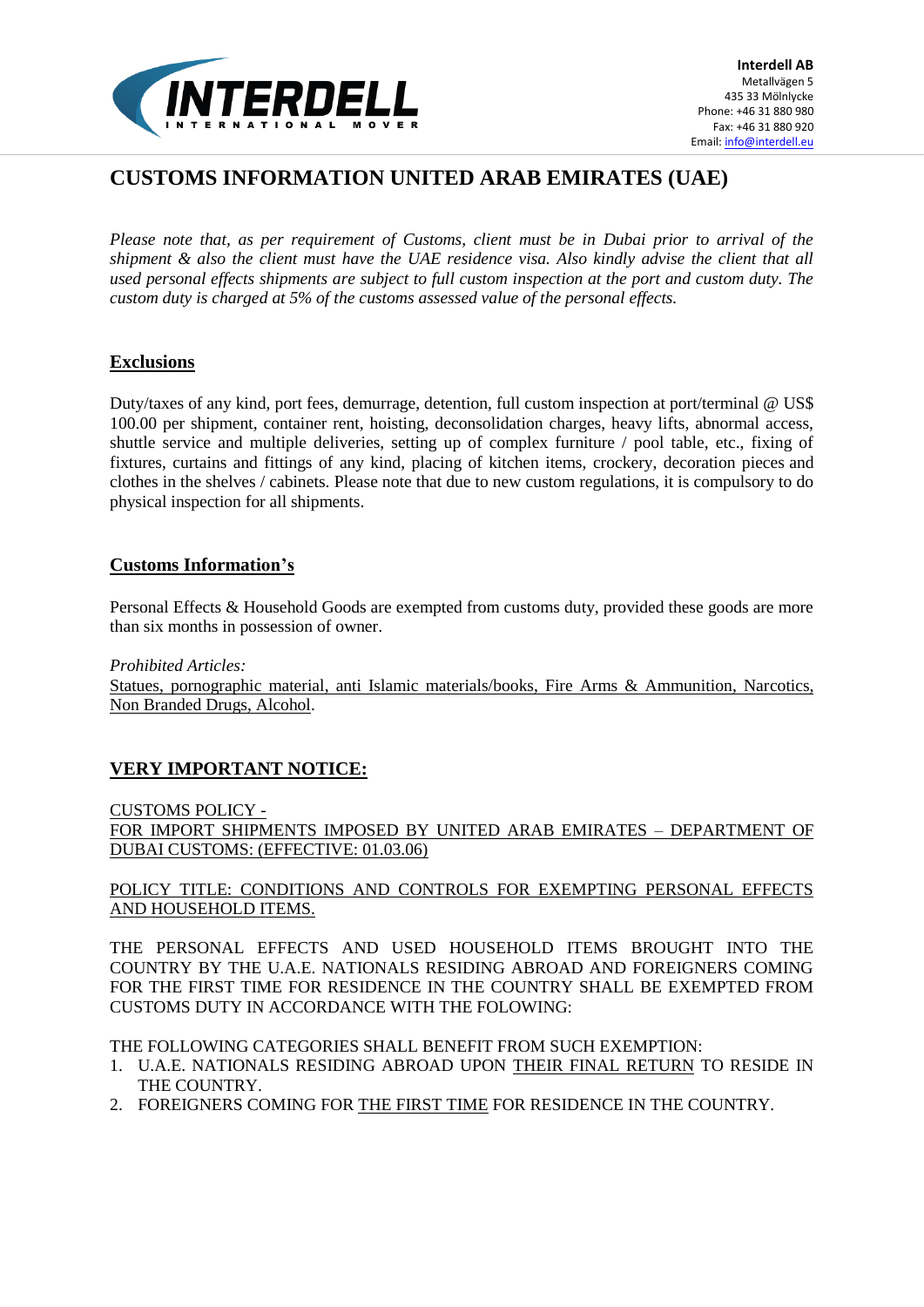

# **CUSTOMS INFORMATION UNITED ARAB EMIRATES (UAE)**

*Please note that, as per requirement of Customs, client must be in Dubai prior to arrival of the shipment & also the client must have the UAE residence visa. Also kindly advise the client that all used personal effects shipments are subject to full custom inspection at the port and custom duty. The custom duty is charged at 5% of the customs assessed value of the personal effects.* 

## **Exclusions**

Duty/taxes of any kind, port fees, demurrage, detention, full custom inspection at port/terminal @ US\$ 100.00 per shipment, container rent, hoisting, deconsolidation charges, heavy lifts, abnormal access, shuttle service and multiple deliveries, setting up of complex furniture / pool table, etc., fixing of fixtures, curtains and fittings of any kind, placing of kitchen items, crockery, decoration pieces and clothes in the shelves / cabinets. Please note that due to new custom regulations, it is compulsory to do physical inspection for all shipments.

## **Customs Information's**

Personal Effects & Household Goods are exempted from customs duty, provided these goods are more than six months in possession of owner.

*Prohibited Articles:* 

Statues, pornographic material, anti Islamic materials/books, Fire Arms & Ammunition, Narcotics, Non Branded Drugs, Alcohol.

# **VERY IMPORTANT NOTICE:**

#### CUSTOMS POLICY -

FOR IMPORT SHIPMENTS IMPOSED BY UNITED ARAB EMIRATES – DEPARTMENT OF DUBAI CUSTOMS: (EFFECTIVE: 01.03.06)

#### POLICY TITLE: CONDITIONS AND CONTROLS FOR EXEMPTING PERSONAL EFFECTS AND HOUSEHOLD ITEMS.

THE PERSONAL EFFECTS AND USED HOUSEHOLD ITEMS BROUGHT INTO THE COUNTRY BY THE U.A.E. NATIONALS RESIDING ABROAD AND FOREIGNERS COMING FOR THE FIRST TIME FOR RESIDENCE IN THE COUNTRY SHALL BE EXEMPTED FROM CUSTOMS DUTY IN ACCORDANCE WITH THE FOLOWING:

THE FOLLOWING CATEGORIES SHALL BENEFIT FROM SUCH EXEMPTION:

- 1. U.A.E. NATIONALS RESIDING ABROAD UPON THEIR FINAL RETURN TO RESIDE IN THE COUNTRY.
- 2. FOREIGNERS COMING FOR THE FIRST TIME FOR RESIDENCE IN THE COUNTRY.